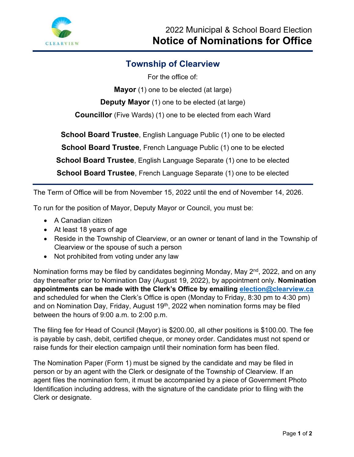

## **Township of Clearview**

For the office of:

**Mayor** (1) one to be elected (at large)

**Deputy Mayor** (1) one to be elected (at large)

**Councillor** (Five Wards) (1) one to be elected from each Ward

**School Board Trustee**, English Language Public (1) one to be elected

**School Board Trustee**, French Language Public (1) one to be elected

**School Board Trustee**, English Language Separate (1) one to be elected

**School Board Trustee**, French Language Separate (1) one to be elected

The Term of Office will be from November 15, 2022 until the end of November 14, 2026.

To run for the position of Mayor, Deputy Mayor or Council, you must be:

- A Canadian citizen
- At least 18 years of age
- Reside in the Township of Clearview, or an owner or tenant of land in the Township of Clearview or the spouse of such a person
- Not prohibited from voting under any law

Nomination forms may be filed by candidates beginning Monday, May 2<sup>nd</sup>, 2022, and on any day thereafter prior to Nomination Day (August 19, 2022), by appointment only. **Nomination appointments can be made with the Clerk's Office by emailing [election@clearview.ca](mailto:election@clearview.ca)** and scheduled for when the Clerk's Office is open (Monday to Friday, 8:30 pm to 4:30 pm) and on Nomination Day, Friday, August 19<sup>th</sup>, 2022 when nomination forms may be filed between the hours of 9:00 a.m. to 2:00 p.m.

The filing fee for Head of Council (Mayor) is \$200.00, all other positions is \$100.00. The fee is payable by cash, debit, certified cheque, or money order. Candidates must not spend or raise funds for their election campaign until their nomination form has been filed.

The Nomination Paper (Form 1) must be signed by the candidate and may be filed in person or by an agent with the Clerk or designate of the Township of Clearview. If an agent files the nomination form, it must be accompanied by a piece of Government Photo Identification including address, with the signature of the candidate prior to filing with the Clerk or designate.